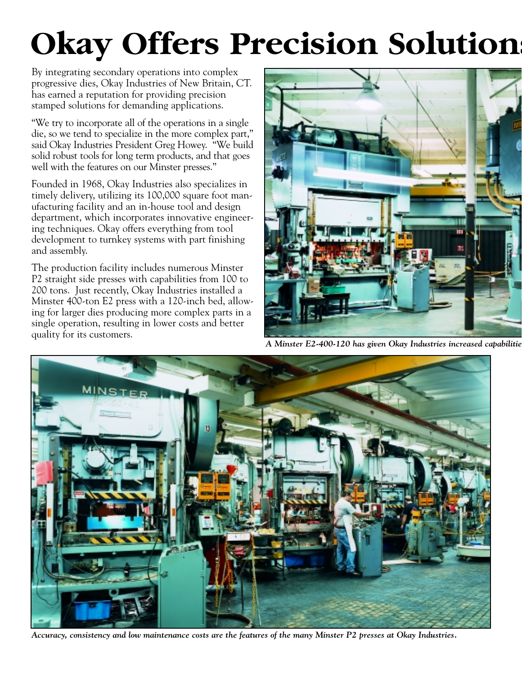## **Okay Offers Precision Solution**

By integrating secondary operations into complex progressive dies, Okay Industries of New Britain, CT. has earned a reputation for providing precision stamped solutions for demanding applications.

"We try to incorporate all of the operations in a single die, so we tend to specialize in the more complex part," said Okay Industries President Greg Howey. "We build solid robust tools for long term products, and that goes well with the features on our Minster presses."

Founded in 1968, Okay Industries also specializes in timely delivery, utilizing its 100,000 square foot manufacturing facility and an in-house tool and design department, which incorporates innovative engineering techniques. Okay offers everything from tool development to turnkey systems with part finishing and assembly.

The production facility includes numerous Minster P2 straight side presses with capabilities from 100 to 200 tons. Just recently, Okay Industries installed a Minster 400-ton E2 press with a 120-inch bed, allowing for larger dies producing more complex parts in a single operation, resulting in lower costs and better quality for its customers.



*A Minster E2-400-120 has given Okay Industries increased capabilitie*



*Accuracy, consistency and low maintenance costs are the features of the many Minster P2 presses at Okay Industries.*